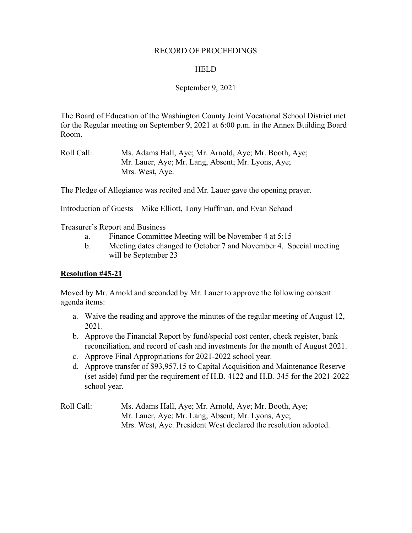#### RECORD OF PROCEEDINGS

#### **HELD**

# September 9, 2021

The Board of Education of the Washington County Joint Vocational School District met for the Regular meeting on September 9, 2021 at 6:00 p.m. in the Annex Building Board Room.

The Pledge of Allegiance was recited and Mr. Lauer gave the opening prayer.

Introduction of Guests – Mike Elliott, Tony Huffman, and Evan Schaad

Treasurer's Report and Business

- a. Finance Committee Meeting will be November 4 at 5:15
- b. Meeting dates changed to October 7 and November 4. Special meeting will be September 23

#### **Resolution #45-21**

Moved by Mr. Arnold and seconded by Mr. Lauer to approve the following consent agenda items:

- a. Waive the reading and approve the minutes of the regular meeting of August 12, 2021.
- b. Approve the Financial Report by fund/special cost center, check register, bank reconciliation, and record of cash and investments for the month of August 2021.
- c. Approve Final Appropriations for 2021-2022 school year.
- d. Approve transfer of \$93,957.15 to Capital Acquisition and Maintenance Reserve (set aside) fund per the requirement of H.B. 4122 and H.B. 345 for the 2021-2022 school year.
- Roll Call: Ms. Adams Hall, Aye; Mr. Arnold, Aye; Mr. Booth, Aye; Mr. Lauer, Aye; Mr. Lang, Absent; Mr. Lyons, Aye; Mrs. West, Aye. President West declared the resolution adopted.

Roll Call: Ms. Adams Hall, Aye; Mr. Arnold, Aye; Mr. Booth, Aye; Mr. Lauer, Aye; Mr. Lang, Absent; Mr. Lyons, Aye; Mrs. West, Aye.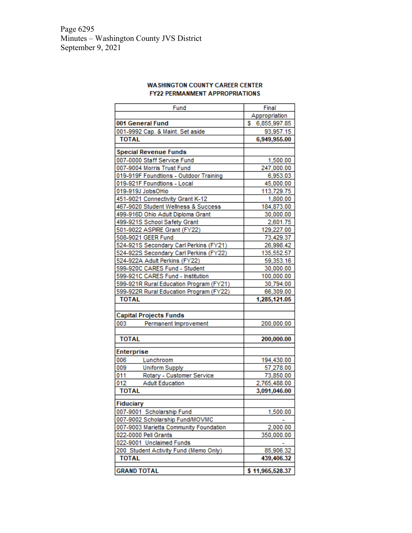Page 6295 Minutes – Washington County JVS District September 9, 2021

|                                        | Fund                                    |    | Final           |
|----------------------------------------|-----------------------------------------|----|-----------------|
|                                        |                                         |    | Appropriation   |
|                                        | 001 General Fund                        | s. | 6,855,997.85    |
|                                        | 001-9992 Cap. & Maint. Set aside        |    | 93,957.15       |
| <b>TOTAL</b>                           |                                         |    | 6,949,955.00    |
|                                        | <b>Special Revenue Funds</b>            |    |                 |
|                                        | 007-0000 Staff Service Fund             |    | 1,500.00        |
|                                        | 007-9004 Morris Trust Fund              |    | 247,000.00      |
|                                        | 019-919F Foundtions - Outdoor Training  |    | 6,953.03        |
|                                        | 019-921F Foundtions - Local             |    | 45,000.00       |
|                                        | 019-919J JobsOHio                       |    | 113,729.75      |
|                                        | 451-9021 Connectivity Grant K-12        |    | 1,800.00        |
|                                        | 467-9020 Student Wellness & Success     |    | 184,873.00      |
|                                        | 499-916D Ohio Adult Diploma Grant       |    | 30,000.00       |
|                                        | 499-921S School Safety Grant            |    | 2,601.75        |
|                                        | 501-9022 ASPIRE Grant (FY22)            |    | 129,227.00      |
|                                        | 508-9021 GEER Fund                      |    | 73,429.37       |
|                                        | 524-921S Secondary Carl Perkins (FY21)  |    | 26,998.42       |
|                                        | 524-922S Secondary Carl Perkins (FY22)  |    | 135,552.57      |
|                                        | 524-922A Adult Perkins (FY22)           |    | 59,353.16       |
|                                        | 599-920C CARES Fund - Student           |    | 30,000.00       |
|                                        | 599-921C CARES Fund - Institution       |    | 100,000.00      |
|                                        | 599-921R Rural Education Program (FY21) |    | 30,794.00       |
|                                        | 599-922R Rural Education Program (FY22) |    | 66,309.00       |
| <b>TOTAL</b>                           |                                         |    | 1,285,121.05    |
|                                        |                                         |    |                 |
|                                        | <b>Capital Projects Funds</b>           |    |                 |
| 003                                    | Permanent Improvement                   |    | 200,000.00      |
| <b>TOTAL</b>                           |                                         |    | 200,000.00      |
| Enterprise                             |                                         |    |                 |
| 006                                    | Lunchroom                               |    | 194,430.00      |
| 009                                    | <b>Uniform Supply</b>                   |    | 57,278.00       |
| 011                                    | Rotary - Customer Service               |    | 73,850.00       |
| 012                                    | <b>Adult Education</b>                  |    | 2,765,488.00    |
| <b>TOTAL</b>                           |                                         |    | 3,091,046.00    |
| Fiduciary                              |                                         |    |                 |
|                                        | 007-9001 Scholarship Fund               |    | 1,500.00        |
|                                        | 007-9002 Scholarship Fund/MOVMC         |    |                 |
| 007-9003 Marietta Community Foundation |                                         |    | 2,000.00        |
|                                        | 022-0000 Pell Grants                    |    | 350,000.00      |
|                                        | 022-9001 Unclaimed Funds                |    |                 |
|                                        | 200 Student Activity Fund (Memo Only)   |    | 85,906.32       |
| <b>TOTAL</b>                           |                                         |    | 439,406.32      |
| <b>GRAND TOTAL</b>                     |                                         |    | \$11,965,528.37 |

#### **WA SHINGTON COUNTY CAREER CENTER FY22 PERMANMENT APPROPRIATIONS**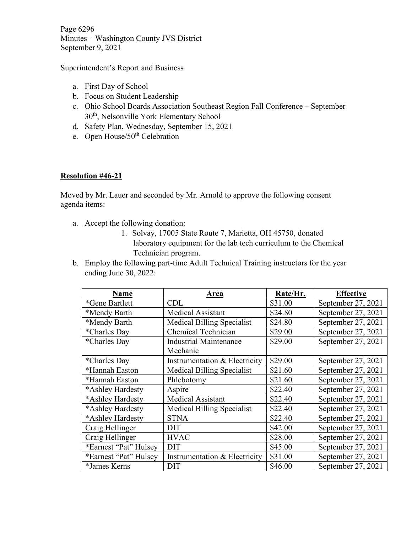Page 6296 Minutes – Washington County JVS District September 9, 2021

Superintendent's Report and Business

- a. First Day of School
- b. Focus on Student Leadership
- c. Ohio School Boards Association Southeast Region Fall Conference September 30th, Nelsonville York Elementary School
- d. Safety Plan, Wednesday, September 15, 2021
- e. Open House/50<sup>th</sup> Celebration

# **Resolution #46-21**

Moved by Mr. Lauer and seconded by Mr. Arnold to approve the following consent agenda items:

- a. Accept the following donation:
	- 1. Solvay, 17005 State Route 7, Marietta, OH 45750, donated laboratory equipment for the lab tech curriculum to the Chemical Technician program.
- b. Employ the following part-time Adult Technical Training instructors for the year ending June 30, 2022:

| <b>Name</b>           | Area                              | Rate/Hr. | <b>Effective</b>   |
|-----------------------|-----------------------------------|----------|--------------------|
| *Gene Bartlett        | <b>CDL</b>                        | \$31.00  | September 27, 2021 |
| *Mendy Barth          | <b>Medical Assistant</b>          | \$24.80  | September 27, 2021 |
| *Mendy Barth          | Medical Billing Specialist        | \$24.80  | September 27, 2021 |
| *Charles Day          | Chemical Technician               | \$29.00  | September 27, 2021 |
| *Charles Day          | <b>Industrial Maintenance</b>     | \$29.00  | September 27, 2021 |
|                       | Mechanic                          |          |                    |
| *Charles Day          | Instrumentation & Electricity     | \$29.00  | September 27, 2021 |
| *Hannah Easton        | <b>Medical Billing Specialist</b> | \$21.60  | September 27, 2021 |
| *Hannah Easton        | Phlebotomy                        | \$21.60  | September 27, 2021 |
| *Ashley Hardesty      | Aspire                            | \$22.40  | September 27, 2021 |
| *Ashley Hardesty      | <b>Medical Assistant</b>          | \$22.40  | September 27, 2021 |
| *Ashley Hardesty      | <b>Medical Billing Specialist</b> | \$22.40  | September 27, 2021 |
| *Ashley Hardesty      | <b>STNA</b>                       | \$22.40  | September 27, 2021 |
| Craig Hellinger       | <b>DIT</b>                        | \$42.00  | September 27, 2021 |
| Craig Hellinger       | <b>HVAC</b>                       | \$28.00  | September 27, 2021 |
| *Earnest "Pat" Hulsey | <b>DIT</b>                        | \$45.00  | September 27, 2021 |
| *Earnest "Pat" Hulsey | Instrumentation & Electricity     | \$31.00  | September 27, 2021 |
| *James Kerns          | <b>DIT</b>                        | \$46.00  | September 27, 2021 |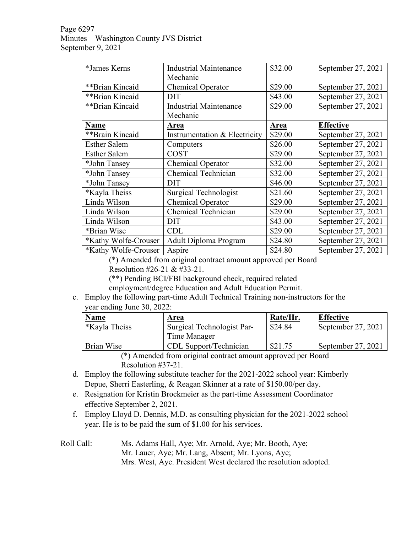# Page 6297 Minutes – Washington County JVS District September 9, 2021

| *James Kerns         | <b>Industrial Maintenance</b> | \$32.00 | September 27, 2021 |
|----------------------|-------------------------------|---------|--------------------|
|                      | Mechanic                      |         |                    |
| **Brian Kincaid      | Chemical Operator             | \$29.00 | September 27, 2021 |
| **Brian Kincaid      | <b>DIT</b>                    | \$43.00 | September 27, 2021 |
| **Brian Kincaid      | <b>Industrial Maintenance</b> | \$29.00 | September 27, 2021 |
|                      | Mechanic                      |         |                    |
| Name                 | Area                          | Area    | <b>Effective</b>   |
| **Brain Kincaid      | Instrumentation & Electricity | \$29.00 | September 27, 2021 |
| <b>Esther Salem</b>  | Computers                     | \$26.00 | September 27, 2021 |
| <b>Esther Salem</b>  | <b>COST</b>                   | \$29.00 | September 27, 2021 |
| *John Tansey         | <b>Chemical Operator</b>      | \$32.00 | September 27, 2021 |
| *John Tansey         | Chemical Technician           | \$32.00 | September 27, 2021 |
| *John Tansey         | <b>DIT</b>                    | \$46.00 | September 27, 2021 |
| *Kayla Theiss        | Surgical Technologist         | \$21.60 | September 27, 2021 |
| Linda Wilson         | Chemical Operator             | \$29.00 | September 27, 2021 |
| Linda Wilson         | <b>Chemical Technician</b>    | \$29.00 | September 27, 2021 |
| Linda Wilson         | <b>DIT</b>                    | \$43.00 | September 27, 2021 |
| *Brian Wise          | <b>CDL</b>                    | \$29.00 | September 27, 2021 |
| *Kathy Wolfe-Crouser | Adult Diploma Program         | \$24.80 | September 27, 2021 |
| *Kathy Wolfe-Crouser | Aspire                        | \$24.80 | September 27, 2021 |

(\*) Amended from original contract amount approved per Board

Resolution #26-21 & #33-21.

(\*\*) Pending BCI/FBI background check, required related

employment/degree Education and Adult Education Permit.

c. Employ the following part-time Adult Technical Training non-instructors for the year ending June 30, 2022:

| <b>Name</b>          | Area                       | Rate/Hr. | <b>Effective</b>   |
|----------------------|----------------------------|----------|--------------------|
| <i>*Kayla Theiss</i> | Surgical Technologist Par- | \$24.84  | September 27, 2021 |
|                      | Time Manager               |          |                    |
| Brian Wise           | CDL Support/Technician     | \$21.75  | September 27, 2021 |

(\*) Amended from original contract amount approved per Board Resolution #37-21.

- d. Employ the following substitute teacher for the 2021-2022 school year: Kimberly Depue, Sherri Easterling, & Reagan Skinner at a rate of \$150.00/per day.
- e. Resignation for Kristin Brockmeier as the part-time Assessment Coordinator effective September 2, 2021.
- f. Employ Lloyd D. Dennis, M.D. as consulting physician for the 2021-2022 school year. He is to be paid the sum of \$1.00 for his services.

# Roll Call: Ms. Adams Hall, Aye; Mr. Arnold, Aye; Mr. Booth, Aye; Mr. Lauer, Aye; Mr. Lang, Absent; Mr. Lyons, Aye; Mrs. West, Aye. President West declared the resolution adopted.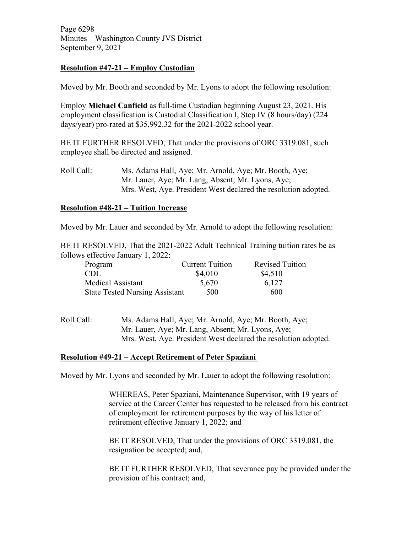Page 6298 Minutes – Washington County JVS District September 9, 2021

# **Resolution #47-21 – Employ Custodian**

Moved by Mr. Booth and seconded by Mr. Lyons to adopt the following resolution:

Employ **Michael Canfield** as full-time Custodian beginning August 23, 2021. His employment classification is Custodial Classification I, Step IV (8 hours/day) (224 days/year) pro-rated at \$35,992.32 for the 2021-2022 school year.

BE IT FURTHER RESOLVED, That under the provisions of ORC 3319.081, such employee shall be directed and assigned.

Roll Call: Ms. Adams Hall, Aye; Mr. Arnold, Aye; Mr. Booth, Aye; Mr. Lauer, Aye; Mr. Lang, Absent; Mr. Lyons, Aye; Mrs. West, Aye. President West declared the resolution adopted.

# **Resolution #48-21 – Tuition Increase**

Moved by Mr. Lauer and seconded by Mr. Arnold to adopt the following resolution:

BE IT RESOLVED, That the 2021-2022 Adult Technical Training tuition rates be as follows effective January 1, 2022:

| Program                               | <b>Current Tuition</b> | <b>Revised Tuition</b> |
|---------------------------------------|------------------------|------------------------|
| CDL                                   | \$4,010                | \$4,510                |
| Medical Assistant                     | 5,670                  | 6.127                  |
| <b>State Tested Nursing Assistant</b> | 500                    | 600                    |

Roll Call: Ms. Adams Hall, Aye; Mr. Arnold, Aye; Mr. Booth, Aye; Mr. Lauer, Aye; Mr. Lang, Absent; Mr. Lyons, Aye; Mrs. West, Aye. President West declared the resolution adopted.

#### **Resolution #49-21 – Accept Retirement of Peter Spaziani**

Moved by Mr. Lyons and seconded by Mr. Lauer to adopt the following resolution:

WHEREAS, Peter Spaziani, Maintenance Supervisor, with 19 years of service at the Career Center has requested to be released from his contract of employment for retirement purposes by the way of his letter of retirement effective January 1, 2022; and

BE IT RESOLVED, That under the provisions of ORC 3319.081, the resignation be accepted; and,

BE IT FURTHER RESOLVED, That severance pay be provided under the provision of his contract; and,